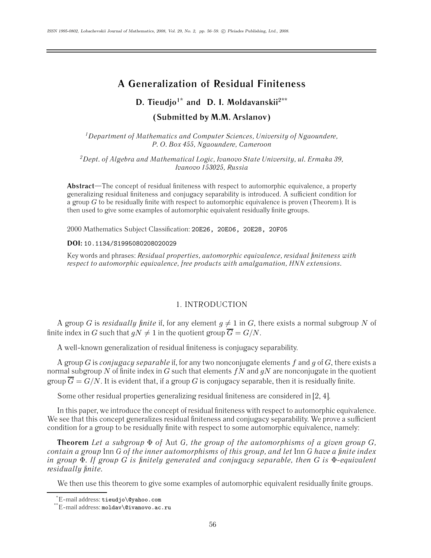# **A Generalization of Residual Finiteness**

# **D. Tieudjo1\* and D. I. Moldavanskii2\*\* (Submitted by M.M. Arslanov)**

*1Department of Mathematics and Computer Sciences, University of Ngaoundere, P. O. Box 455, Ngaoundere, Cameroon*

*2Dept. of Algebra and Mathematical Logic, Ivanovo State University, ul. Ermaka 39, Ivanovo 153025, Russia*

**Abstract**—The concept of residual finiteness with respect to automorphic equivalence, a property generalizing residual finiteness and conjugacy separability is introduced. A sufficient condition for a group  $G$  to be residually finite with respect to automorphic equivalence is proven (Theorem). It is then used to give some examples of automorphic equivalent residually finite groups.

2000 Mathematics Subject Classification: 20E26, 20E06, 20E28, 20F05

**DOI:** 10.1134/S1995080208020029

Key words and phrases: *Residual properties, automorphic equivalence, residual finiteness with respect to automorphic equivalence, free products with amalgamation, HNN extensions.*

# 1. INTRODUCTION

A group G is *residually finite* if, for any element  $q \neq 1$  in G, there exists a normal subgroup N of finite index in G such that  $qN \neq 1$  in the quotient group  $\overline{G} = G/N$ .

A well-known generalization of residual finiteness is conjugacy separability.

A group G is *conjugacy separable* if, for any two nonconjugate elements f and g of G, there exists a normal subgroup N of finite index in G such that elements  $fN$  and  $gN$  are nonconjugate in the quotient group  $\overline{G} = G/N$ . It is evident that, if a group G is conjugacy separable, then it is residually finite.

Some other residual properties generalizing residual finiteness are considered in [2, 4].

In this paper, we introduce the concept of residual finiteness with respect to automorphic equivalence. We see that this concept generalizes residual finiteness and conjugacy separability. We prove a sufficient condition for a group to be residually finite with respect to some automorphic equivalence, namely:

**Theorem** *Let a subgroup* Φ *of* Aut *G, the group of the automorphisms of a given group* G*, contain a group* Inn *G of the inner automorphisms of this group, and let* Inn *G have a finite index in group* Φ*. If group* G *is finitely generated and conjugacy separable, then* G *is* Φ*-equivalent residually finite.*

We then use this theorem to give some examples of automorphic equivalent residually finite groups.

<sup>\*</sup> E-mail address: tieudjo\@yahoo.com

<sup>\*\*</sup>E-mail address: moldav\@ivanovo.ac.ru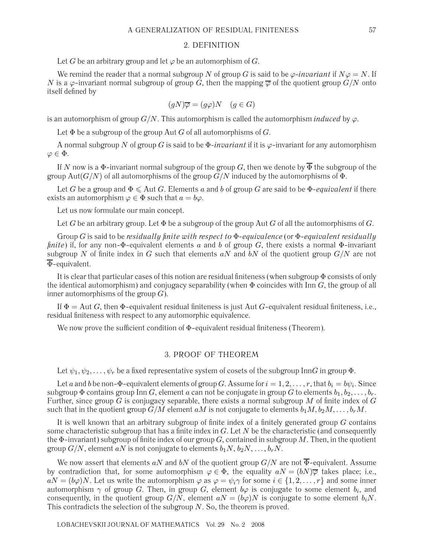#### 2. DEFINITION

Let G be an arbitrary group and let  $\varphi$  be an automorphism of G.

We remind the reader that a normal subgroup N of group G is said to be  $\varphi$ -*invariant* if  $N\varphi = N$ . If N is a  $\varphi$ -invariant normal subgroup of group G, then the mapping  $\overline{\varphi}$  of the quotient group  $G/N$  onto itself defined by

$$
(gN)\overline{\varphi} = (g\varphi)N \quad (g \in G)
$$

is an automorphism of group  $G/N$ . This automorphism is called the automorphism *induced* by  $\varphi$ .

Let  $\Phi$  be a subgroup of the group Aut G of all automorphisms of G.

A normal subgroup N of group G is said to be  $\Phi$ -*invariant* if it is  $\varphi$ -invariant for any automorphism  $\varphi \in \Phi$ .

If N now is a  $\Phi$ -invariant normal subgroup of the group G, then we denote by  $\overline{\Phi}$  the subgroup of the group Aut( $G/N$ ) of all automorphisms of the group  $G/N$  induced by the automorphisms of  $\Phi$ .

Let G be a group and  $\Phi \leq \text{Aut } G$ . Elements a and b of group G are said to be  $\Phi$ -equivalent if there exists an automorphism  $\varphi \in \Phi$  such that  $a = b\varphi$ .

Let us now formulate our main concept.

Let G be an arbitrary group. Let  $\Phi$  be a subgroup of the group Aut G of all the automorphisms of G.

Group G is said to be *residually finite with respect to* Φ*-equivalence* (or Φ*-equivalent residually finite*) if, for any non- $\Phi$ -equivalent elements a and b of group G, there exists a normal  $\Phi$ -invariant subgroup N of finite index in G such that elements  $aN$  and  $bN$  of the quotient group  $G/N$  are not  $\overline{\Phi}$ -equivalent.

It is clear that particular cases of this notion are residual finiteness (when subgroup  $\Phi$  consists of only the identical automorphism) and conjugacy separability (when  $\Phi$  coincides with Inn G, the group of all inner automorphisms of the group  $G$ ).

If  $\Phi =$  Aut G, then  $\Phi$ -equivalent residual finiteness is just Aut G-equivalent residual finiteness, i.e., residual finiteness with respect to any automorphic equivalence.

We now prove the sufficient condition of Φ-equivalent residual finiteness (Theorem).

# 3. PROOF OF THEOREM

Let  $\psi_1, \psi_2, \ldots, \psi_r$  be a fixed representative system of cosets of the subgroup InnG in group  $\Phi$ .

Let a and b be non- $\Phi$ -equivalent elements of group G. Assume for  $i = 1, 2, \ldots, r$ , that  $b_i = b\psi_i$ . Since subgroup  $\Phi$  contains group Inn G, element a can not be conjugate in group G to elements  $b_1, b_2, \ldots, b_r$ . Further, since group  $\tilde{G}$  is conjugacy separable, there exists a normal subgroup M of finite index of  $G$ such that in the quotient group  $G/M$  element aM is not conjugate to elements  $b_1M, b_2M, \ldots, b_rM$ .

It is well known that an arbitrary subgroup of finite index of a finitely generated group  $G$  contains some characteristic subgroup that has a finite index in  $G$ . Let  $N$  be the characteristic (and consequently the  $\Phi$ -invariant) subgroup of finite index of our group  $G$ , contained in subgroup M. Then, in the quotient group  $G/N$ , element aN is not conjugate to elements  $b_1N, b_2N,\ldots, b_rN$ .

We now assert that elements aN and bN of the quotient group  $G/N$  are not  $\overline{\Phi}$ -equivalent. Assume by contradiction that, for some automorphism  $\varphi \in \Phi$ , the equality  $aN = (bN)\overline{\varphi}$  takes place; i.e.,  $aN = (b\varphi)N$ . Let us write the automorphism  $\varphi$  as  $\varphi = \psi_i \gamma$  for some  $i \in \{1, 2, ..., r\}$  and some inner automorphism  $\gamma$  of group G. Then, in group G, element  $b\varphi$  is conjugate to some element  $b_i$ , and consequently, in the quotient group  $G/N$ , element  $aN = (b\varphi)N$  is conjugate to some element  $b_iN$ . This contradicts the selection of the subgroup  $N$ . So, the theorem is proved.

LOBACHEVSKII JOURNAL OF MATHEMATICS Vol. 29 No. 2 2008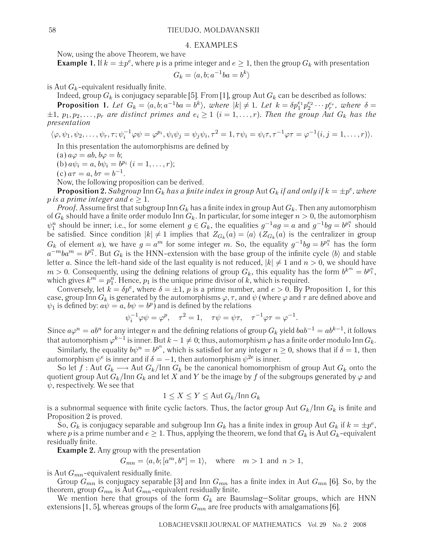#### 4. EXAMPLES

Now, using the above Theorem, we have

**Example 1.** If  $k = \pm p^e$ , where p is a prime integer and  $e \ge 1$ , then the group  $G_k$  with presentation

$$
G_k = \langle a, b; a^{-1}ba = b^k \rangle
$$

is Aut  $G_k$ -equivalent residually finite.

Indeed, group  $G_k$  is conjugacy separable [5]. From [1], group Aut  $G_k$  can be described as follows:

**Proposition 1.** Let  $G_k = \langle a, b; a^{-1}ba = b^k \rangle$ , where  $|k| \neq 1$ . Let  $k = \delta p_1^{e_1} p_2^{e_2} \cdots p_r^{e_r}$ , where  $\delta =$  $\pm 1$ ,  $p_1, p_2, \ldots, p_r$  are distinct primes and  $e_i \geq 1$  ( $i = 1, \ldots, r$ ). Then the group Aut  $G_k$  has the *presentation*

$$
\langle \varphi, \psi_1, \psi_2, \dots, \psi_r, \tau; \psi_i^{-1} \varphi \psi = \varphi^{p_i}, \psi_i \psi_j = \psi_j \psi_i, \tau^2 = 1, \tau \psi_i = \psi_i \tau, \tau^{-1} \varphi \tau = \varphi^{-1}(i, j = 1, \dots, r).
$$

In this presentation the automorphisms are defined by

(a)  $a\varphi = ab$ ,  $b\varphi = b$ ;

(b)  $a\psi_i = a, b\psi_i = b^{p_i}$   $(i = 1, ..., r);$ 

(c)  $a\tau = a, b\tau = b^{-1}$ .

Now, the following proposition can be derived.

**Proposition 2.** *Subgroup* Inn  $G_k$  *has a finite index in group* Aut  $G_k$  *if and only if*  $k = \pm p^e$ *, where p* is a prime integer and  $e \geq 1$ .

*Proof.* Assume first that subgroup Inn  $G_k$  has a finite index in group Aut  $G_k$ . Then any automorphism of  $G_k$  should have a finite order modulo Inn  $G_k$ . In particular, for some integer  $n > 0$ , the automorphism  $\psi_1^n$  should be inner; i.e., for some element  $g \in G_k$ , the equalities  $g^{-1}ag = a$  and  $g^{-1}bg = b^{p_1^n}$  should be satisfied. Since condition  $|k| \neq 1$  implies that  $Z_{G_k}(a) = \langle a \rangle$   $(Z_{G_k}(a)$  is the centralizer in group  $G_k$  of element a), we have  $g = a^m$  for some integer m. So, the equality  $g^{-1}bg = b^{p_1^n}$  has the form  $a^{-m}ba^m = b^{p_1^n}$ . But  $G_k$  is the HNN-extension with the base group of the infinite cycle  $\langle b \rangle$  and stable letter a. Since the left-hand side of the last equality is not reduced,  $|k| \neq 1$  and  $n > 0$ , we should have  $m > 0$ . Consequently, using the defining relations of group  $G_k$ , this equality has the form  $b^{k^m} = b^{p_1^n}$ , which gives  $k^m = p_1^n$ . Hence,  $p_1$  is the unique prime divisor of k, which is required.

Conversely, let  $k = \delta p^e$ , where  $\delta = \pm 1$ , p is a prime number, and  $e > 0$ . By Proposition 1, for this case, group Inn  $G_k$  is generated by the automorphisms  $\varphi, \tau$ , and  $\psi$  (where  $\varphi$  and  $\tau$  are defined above and  $\psi_1$  is defined by:  $a\psi = a$ ,  $b\psi = b^p$ ) and is defined by the relations

$$
\psi_i^{-1}\varphi\psi = \varphi^p, \quad \tau^2 = 1, \quad \tau\psi = \psi\tau, \quad \tau^{-1}\varphi\tau = \varphi^{-1}.
$$

Since  $a\varphi^n = ab^n$  for any integer n and the defining relations of group  $G_k$  yield  $bab^{-1} = ab^{k-1}$ , it follows that automorphism  $\varphi^{k-1}$  is inner. But  $k-1\neq 0$ ; thus, automorphism  $\varphi$  has a finite order modulo Inn  $G_k$ .

Similarly, the equality  $b\psi^n = b^{p^n}$ , which is satisfied for any integer  $n \ge 0$ , shows that if  $\delta = 1$ , then automorphism  $\psi^e$  is inner and if  $\delta = -1$ , then automorphism  $\psi^{2e}$  is inner.

So let f : Aut  $G_k \longrightarrow$  Aut  $G_k$ /Inn  $G_k$  be the canonical homomorphism of group Aut  $G_k$  onto the quotient group Aut  $G_k$ /Inn  $G_k$  and let X and Y be the image by f of the subgroups generated by  $\varphi$  and  $\psi$ , respectively. We see that

$$
1 \le X \le Y \le \text{Aut } G_k / \text{Inn } G_k
$$

is a subnormal sequence with finite cyclic factors. Thus, the factor group Aut  $G_k / \text{Inn } G_k$  is finite and Proposition 2 is proved.

So,  $G_k$  is conjugacy separable and subgroup Inn  $G_k$  has a finite index in group Aut  $G_k$  if  $k = \pm p^e$ , where p is a prime number and  $e \geq 1$ . Thus, applying the theorem, we fond that  $G_k$  is Aut  $G_k$ -equivalent residually finite.

**Example 2.** Any group with the presentation

$$
G_{mn} = \langle a, b; [a^m, b^n] = 1 \rangle, \quad \text{where} \quad m > 1 \text{ and } n > 1,
$$

is Aut  $G_{mn}$ -equivalent residually finite.

Group  $G_{mn}$  is conjugacy separable [3] and Inn  $G_{mn}$  has a finite index in Aut  $G_{mn}$  [6]. So, by the theorem, group  $G_{mn}$  is Aut  $G_{mn}$ -equivalent residually finite.

We mention here that groups of the form  $G_k$  are Baumslag–Solitar groups, which are HNN extensions [1, 5], whereas groups of the form  $G_{mn}$  are free products with amalgamations [6].